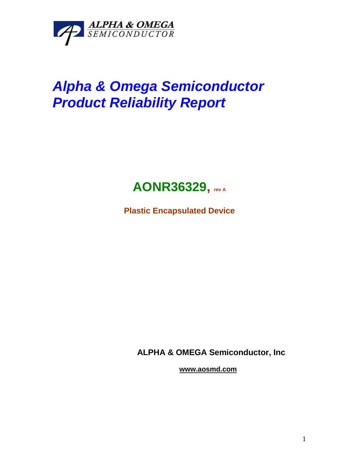

# *Alpha & Omega Semiconductor Product Reliability Report*



**Plastic Encapsulated Device**

**ALPHA & OMEGA Semiconductor, Inc**

**www.aosmd.com**